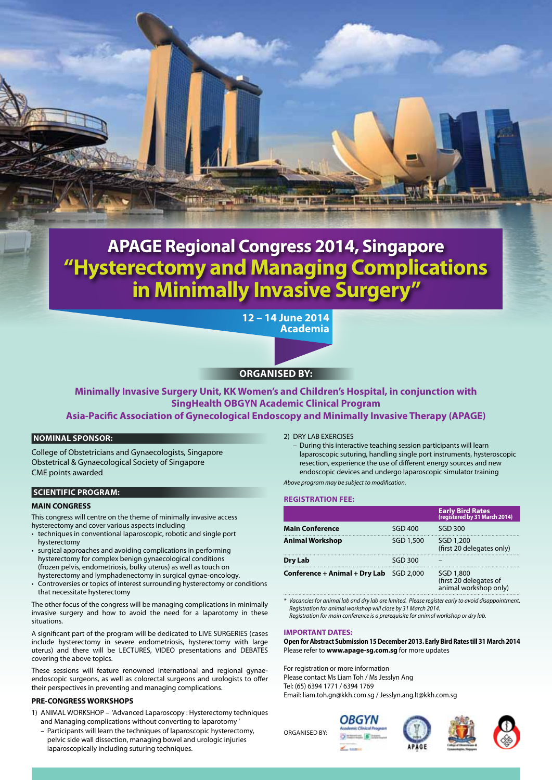

# **APAGE Regional Congress 2014, Singapore "Hysterectomy and Managing Complications in Minimally Invasive Surgery"**

**12 – 14 June 2014 Academia**

## **Organised by:**

**Minimally Invasive Surgery Unit, KK Women's and Children's Hospital, in conjunction with SingHealth OBGYN Academic Clinical Program Asia-Pacific Association of Gynecological Endoscopy and Minimally Invasive Therapy (APAGE)**

#### **Nominal Sponsor:**

College of Obstetricians and Gynaecologists, Singapore Obstetrical & Gynaecological Society of Singapore CME points awarded

### **Scientific Program:**

#### **MAIN CONGRESS**

This congress will centre on the theme of minimally invasive access hysterectomy and cover various aspects including

- $\cdot$  techniques in conventional laparoscopic, robotic and single port hysterectomy
- surgical approaches and avoiding complications in performing hysterectomy for complex benign gynaecological conditions (frozen pelvis, endometriosis, bulky uterus) as well as touch on hysterectomy and lymphadenectomy in surgical gynae-oncology.
- Controversies or topics of interest surrounding hysterectomy or conditions that necessitate hysterectomy

The other focus of the congress will be managing complications in minimally invasive surgery and how to avoid the need for a laparotomy in these situations.

A significant part of the program will be dedicated to LIVE SURGERIES (cases include hysterectomy in severe endometriosis, hysterectomy with large uterus) and there will be LECTURES, VIDEO presentations and DEBATES covering the above topics.

These sessions will feature renowned international and regional gynaeendoscopic surgeons, as well as colorectal surgeons and urologists to offer their perspectives in preventing and managing complications.

#### **PRE-CONGRESS WORKSHOPS**

- 1) ANIMAL WORKSHOP 'Advanced Laparoscopy : Hysterectomy techniques and Managing complications without converting to laparotomy
	- Participants will learn the techniques of laparoscopic hysterectomy, pelvic side wall dissection, managing bowel and urologic injuries laparoscopically including suturing techniques.
- 2) DRY LAB EXERCISES
	- During this interactive teaching session participants will learn laparoscopic suturing, handling single port instruments, hysteroscopic resection, experience the use of different energy sources and new endoscopic devices and undergo laparoscopic simulator training

*Above program may be subject to modification.*

#### **Registration Fee:**

|                                                  |                | <b>Early Bird Rates</b><br>(registered by 31 March 2014)     |
|--------------------------------------------------|----------------|--------------------------------------------------------------|
| <b>Main Conference</b>                           | <b>SGD 400</b> | <b>SGD 300</b>                                               |
| <b>Animal Workshop</b>                           | SGD 1.500      | SGD 1.200<br>(first 20 delegates only)                       |
| Dry Lab                                          | <b>SGD 300</b> |                                                              |
| <b>Conference + Animal + Dry Lab</b> $SGD 2,000$ |                | SGD 1,800<br>(first 20 delegates of<br>animal workshop only) |

*\* Vacancies for animal lab and dry lab are limited. Please register early to avoid disappointment. Registration for animal workshop will close by 31 March 2014. Registration for main conference is a prerequisite for animal workshop or dry lab.*

#### **IMPORTANT DATES:**

**Open for Abstract Submission 15 December 2013. Early Bird Rates till 31 March 2014** Please refer to **www.apage-sg.com.sg** for more updates

For registration or more information Please contact Ms Liam Toh / Ms Jesslyn Ang Tel: (65) 6394 1771 / 6394 1769 Email: liam.toh.gn@kkh.com.sg / Jesslyn.ang.lt@kkh.com.sg